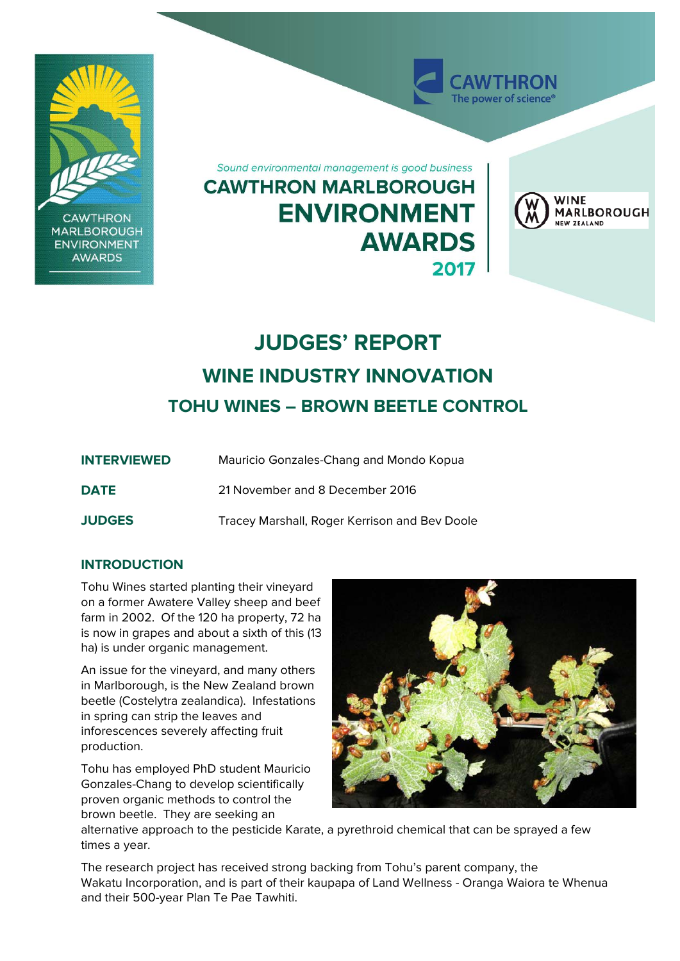

# **JUDGES' REPORT WINE INDUSTRY INNOVATION TOHU WINES – BROWN BEETLE CONTROL**

| <b>INTERVIEWED</b> | Mauricio Gonzales-Chang and Mondo Kopua       |
|--------------------|-----------------------------------------------|
| <b>DATE</b>        | 21 November and 8 December 2016               |
| <b>JUDGES</b>      | Tracey Marshall, Roger Kerrison and Bey Doole |

## **INTRODUCTION**

Tohu Wines started planting their vineyard on a former Awatere Valley sheep and beef farm in 2002. Of the 120 ha property, 72 ha is now in grapes and about a sixth of this (13 ha) is under organic management.

An issue for the vineyard, and many others in Marlborough, is the New Zealand brown beetle (Costelytra zealandica). Infestations in spring can strip the leaves and inforescences severely affecting fruit production.

Tohu has employed PhD student Mauricio Gonzales-Chang to develop scientifically proven organic methods to control the brown beetle. They are seeking an



alternative approach to the pesticide Karate, a pyrethroid chemical that can be sprayed a few times a year.

The research project has received strong backing from Tohu's parent company, the Wakatu Incorporation, and is part of their kaupapa of Land Wellness - Oranga Waiora te Whenua and their 500-year Plan Te Pae Tawhiti.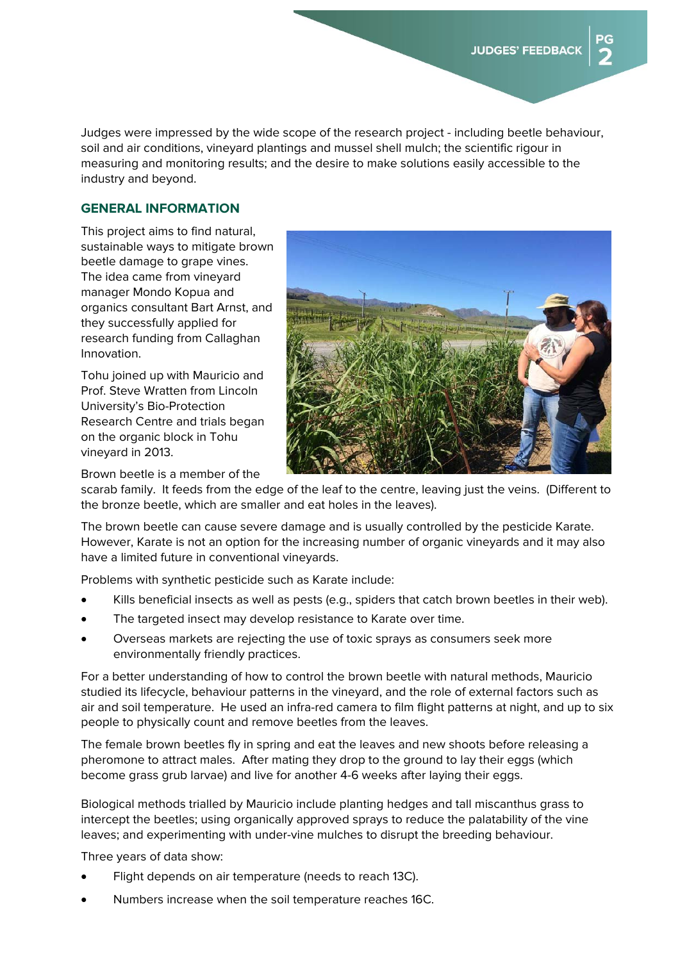Judges were impressed by the wide scope of the research project - including beetle behaviour, soil and air conditions, vineyard plantings and mussel shell mulch; the scientific rigour in measuring and monitoring results; and the desire to make solutions easily accessible to the industry and beyond.

### **GENERAL INFORMATION**

This project aims to find natural, sustainable ways to mitigate brown beetle damage to grape vines. The idea came from vineyard manager Mondo Kopua and organics consultant Bart Arnst, and they successfully applied for research funding from Callaghan Innovation.

Tohu joined up with Mauricio and Prof. Steve Wratten from Lincoln University's Bio-Protection Research Centre and trials began on the organic block in Tohu vineyard in 2013.



Brown beetle is a member of the

scarab family. It feeds from the edge of the leaf to the centre, leaving just the veins. (Different to the bronze beetle, which are smaller and eat holes in the leaves).

The brown beetle can cause severe damage and is usually controlled by the pesticide Karate. However, Karate is not an option for the increasing number of organic vineyards and it may also have a limited future in conventional vineyards.

Problems with synthetic pesticide such as Karate include:

- Kills beneficial insects as well as pests (e.g., spiders that catch brown beetles in their web).
- The targeted insect may develop resistance to Karate over time.
- Overseas markets are rejecting the use of toxic sprays as consumers seek more environmentally friendly practices.

For a better understanding of how to control the brown beetle with natural methods, Mauricio studied its lifecycle, behaviour patterns in the vineyard, and the role of external factors such as air and soil temperature. He used an infra-red camera to film flight patterns at night, and up to six people to physically count and remove beetles from the leaves.

The female brown beetles fly in spring and eat the leaves and new shoots before releasing a pheromone to attract males. After mating they drop to the ground to lay their eggs (which become grass grub larvae) and live for another 4-6 weeks after laying their eggs.

Biological methods trialled by Mauricio include planting hedges and tall miscanthus grass to intercept the beetles; using organically approved sprays to reduce the palatability of the vine leaves; and experimenting with under-vine mulches to disrupt the breeding behaviour.

Three years of data show:

- Flight depends on air temperature (needs to reach 13C).
- Numbers increase when the soil temperature reaches 16C.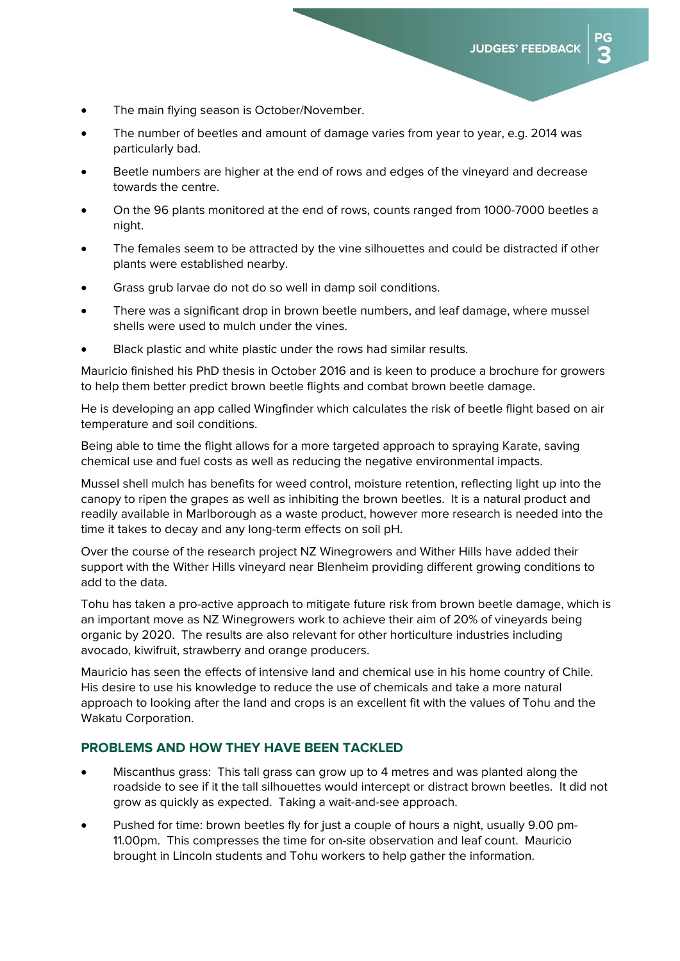ЭG

- The main flying season is October/November.
- The number of beetles and amount of damage varies from year to year, e.g. 2014 was particularly bad.
- Beetle numbers are higher at the end of rows and edges of the vineyard and decrease towards the centre.
- On the 96 plants monitored at the end of rows, counts ranged from 1000-7000 beetles a night.
- The females seem to be attracted by the vine silhouettes and could be distracted if other plants were established nearby.
- Grass grub larvae do not do so well in damp soil conditions.
- There was a significant drop in brown beetle numbers, and leaf damage, where mussel shells were used to mulch under the vines.
- Black plastic and white plastic under the rows had similar results.

Mauricio finished his PhD thesis in October 2016 and is keen to produce a brochure for growers to help them better predict brown beetle flights and combat brown beetle damage.

He is developing an app called Wingfinder which calculates the risk of beetle flight based on air temperature and soil conditions.

Being able to time the flight allows for a more targeted approach to spraying Karate, saving chemical use and fuel costs as well as reducing the negative environmental impacts.

Mussel shell mulch has benefits for weed control, moisture retention, reflecting light up into the canopy to ripen the grapes as well as inhibiting the brown beetles. It is a natural product and readily available in Marlborough as a waste product, however more research is needed into the time it takes to decay and any long-term effects on soil pH.

Over the course of the research project NZ Winegrowers and Wither Hills have added their support with the Wither Hills vineyard near Blenheim providing different growing conditions to add to the data.

Tohu has taken a pro-active approach to mitigate future risk from brown beetle damage, which is an important move as NZ Winegrowers work to achieve their aim of 20% of vineyards being organic by 2020. The results are also relevant for other horticulture industries including avocado, kiwifruit, strawberry and orange producers.

Mauricio has seen the effects of intensive land and chemical use in his home country of Chile. His desire to use his knowledge to reduce the use of chemicals and take a more natural approach to looking after the land and crops is an excellent fit with the values of Tohu and the Wakatu Corporation.

#### **PROBLEMS AND HOW THEY HAVE BEEN TACKLED**

- Miscanthus grass: This tall grass can grow up to 4 metres and was planted along the roadside to see if it the tall silhouettes would intercept or distract brown beetles. It did not grow as quickly as expected. Taking a wait-and-see approach.
- Pushed for time: brown beetles fly for just a couple of hours a night, usually 9.00 pm-11.00pm. This compresses the time for on-site observation and leaf count. Mauricio brought in Lincoln students and Tohu workers to help gather the information.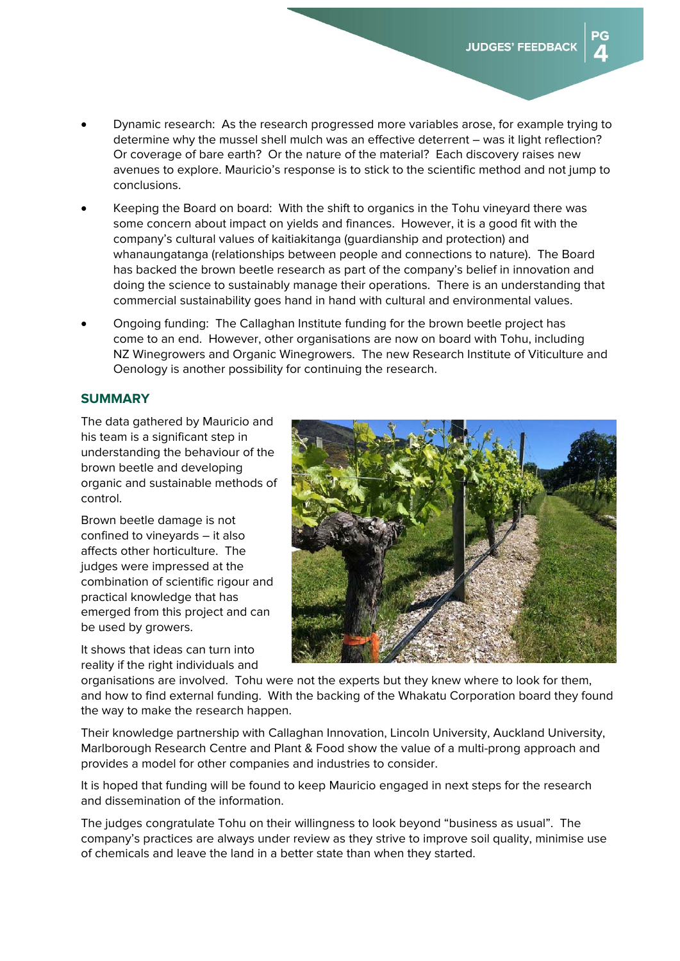ÞС

- Dynamic research: As the research progressed more variables arose, for example trying to determine why the mussel shell mulch was an effective deterrent – was it light reflection? Or coverage of bare earth? Or the nature of the material? Each discovery raises new avenues to explore. Mauricio's response is to stick to the scientific method and not jump to conclusions.
- Keeping the Board on board: With the shift to organics in the Tohu vineyard there was some concern about impact on yields and finances. However, it is a good fit with the company's cultural values of kaitiakitanga (guardianship and protection) and whanaungatanga (relationships between people and connections to nature). The Board has backed the brown beetle research as part of the company's belief in innovation and doing the science to sustainably manage their operations. There is an understanding that commercial sustainability goes hand in hand with cultural and environmental values.
- Ongoing funding: The Callaghan Institute funding for the brown beetle project has come to an end. However, other organisations are now on board with Tohu, including NZ Winegrowers and Organic Winegrowers. The new Research Institute of Viticulture and Oenology is another possibility for continuing the research.

#### **SUMMARY**

The data gathered by Mauricio and his team is a significant step in understanding the behaviour of the brown beetle and developing organic and sustainable methods of control.

Brown beetle damage is not confined to vineyards – it also affects other horticulture. The judges were impressed at the combination of scientific rigour and practical knowledge that has emerged from this project and can be used by growers.

It shows that ideas can turn into reality if the right individuals and



organisations are involved. Tohu were not the experts but they knew where to look for them, and how to find external funding. With the backing of the Whakatu Corporation board they found the way to make the research happen.

Their knowledge partnership with Callaghan Innovation, Lincoln University, Auckland University, Marlborough Research Centre and Plant & Food show the value of a multi-prong approach and provides a model for other companies and industries to consider.

It is hoped that funding will be found to keep Mauricio engaged in next steps for the research and dissemination of the information.

The judges congratulate Tohu on their willingness to look beyond "business as usual". The company's practices are always under review as they strive to improve soil quality, minimise use of chemicals and leave the land in a better state than when they started.